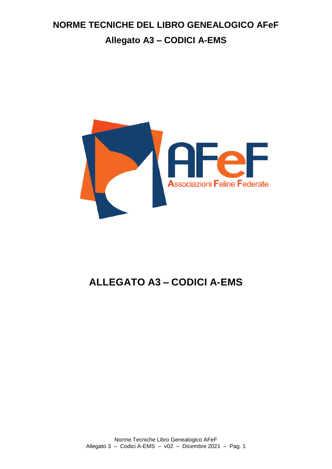

# **ALLEGATO A3 – CODICI A-EMS**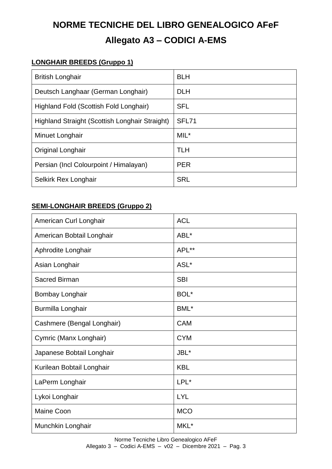### <span id="page-2-0"></span>**LONGHAIR BREEDS (Gruppo 1)**

| <b>British Longhair</b>                        | <b>BLH</b> |
|------------------------------------------------|------------|
| Deutsch Langhaar (German Longhair)             | <b>DLH</b> |
| Highland Fold (Scottish Fold Longhair)         | <b>SFL</b> |
| Highland Straight (Scottish Longhair Straight) | SFL71      |
| Minuet Longhair                                | $MIL^*$    |
| Original Longhair                              | <b>TLH</b> |
| Persian (Incl Colourpoint / Himalayan)         | <b>PER</b> |
| Selkirk Rex Longhair                           | <b>SRL</b> |

### <span id="page-2-1"></span>**SEMI-LONGHAIR BREEDS (Gruppo 2)**

| American Curl Longhair     | <b>ACL</b> |
|----------------------------|------------|
| American Bobtail Longhair  | ABL*       |
| Aphrodite Longhair         | APL**      |
| Asian Longhair             | ASL*       |
| <b>Sacred Birman</b>       | <b>SBI</b> |
| Bombay Longhair            | BOL*       |
| Burmilla Longhair          | BML*       |
| Cashmere (Bengal Longhair) | <b>CAM</b> |
| Cymric (Manx Longhair)     | <b>CYM</b> |
| Japanese Bobtail Longhair  | JBL*       |
| Kurilean Bobtail Longhair  | <b>KBL</b> |
| LaPerm Longhair            | LPL*       |
| Lykoi Longhair             | <b>LYL</b> |
| Maine Coon                 | <b>MCO</b> |
| Munchkin Longhair          | MKL*       |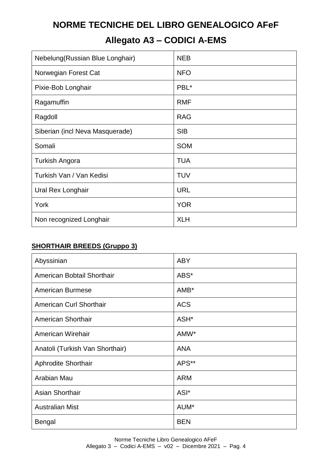## **Allegato A3 – CODICI A-EMS**

| Nebelung (Russian Blue Longhair) | <b>NEB</b> |
|----------------------------------|------------|
| Norwegian Forest Cat             | <b>NFO</b> |
| Pixie-Bob Longhair               | PBL*       |
| Ragamuffin                       | <b>RMF</b> |
| Ragdoll                          | <b>RAG</b> |
| Siberian (incl Neva Masquerade)  | <b>SIB</b> |
| Somali                           | <b>SOM</b> |
| Turkish Angora                   | <b>TUA</b> |
| Turkish Van / Van Kedisi         | <b>TUV</b> |
| Ural Rex Longhair                | <b>URL</b> |
| York                             | <b>YOR</b> |
| Non recognized Longhair          | <b>XLH</b> |

### <span id="page-3-0"></span>**SHORTHAIR BREEDS (Gruppo 3)**

| Abyssinian                      | <b>ABY</b>       |
|---------------------------------|------------------|
| American Bobtail Shorthair      | ABS*             |
| <b>American Burmese</b>         | AMB*             |
| American Curl Shorthair         | <b>ACS</b>       |
| American Shorthair              | ASH <sup>*</sup> |
| American Wirehair               | AMW*             |
| Anatoli (Turkish Van Shorthair) | <b>ANA</b>       |
| <b>Aphrodite Shorthair</b>      | APS**            |
| Arabian Mau                     | <b>ARM</b>       |
| Asian Shorthair                 | ASI*             |
| <b>Australian Mist</b>          | AUM*             |
| <b>Bengal</b>                   | <b>BEN</b>       |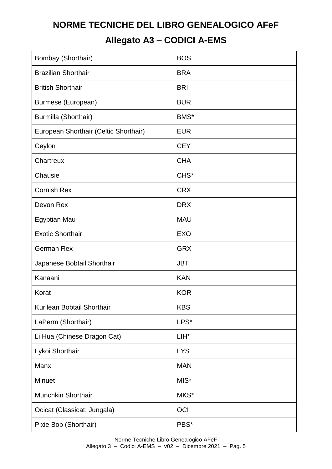## **Allegato A3 – CODICI A-EMS**

| Bombay (Shorthair)                    | <b>BOS</b>       |
|---------------------------------------|------------------|
| <b>Brazilian Shorthair</b>            | <b>BRA</b>       |
| <b>British Shorthair</b>              | <b>BRI</b>       |
| Burmese (European)                    | <b>BUR</b>       |
| Burmilla (Shorthair)                  | BMS*             |
| European Shorthair (Celtic Shorthair) | <b>EUR</b>       |
| Ceylon                                | <b>CEY</b>       |
| Chartreux                             | <b>CHA</b>       |
| Chausie                               | CHS <sup>*</sup> |
| <b>Cornish Rex</b>                    | <b>CRX</b>       |
| Devon Rex                             | <b>DRX</b>       |
| Egyptian Mau                          | <b>MAU</b>       |
| <b>Exotic Shorthair</b>               | <b>EXO</b>       |
| <b>German Rex</b>                     | <b>GRX</b>       |
| Japanese Bobtail Shorthair            | <b>JBT</b>       |
| Kanaani                               | <b>KAN</b>       |
| Korat                                 | <b>KOR</b>       |
| Kurilean Bobtail Shorthair            | <b>KBS</b>       |
| LaPerm (Shorthair)                    | LPS*             |
| Li Hua (Chinese Dragon Cat)           | LIH*             |
| Lykoi Shorthair                       | <b>LYS</b>       |
| Manx                                  | <b>MAN</b>       |
| Minuet                                | MIS*             |
| Munchkin Shorthair                    | MKS*             |
| Ocicat (Classicat; Jungala)           | OCI              |
| Pixie Bob (Shorthair)                 | PBS*             |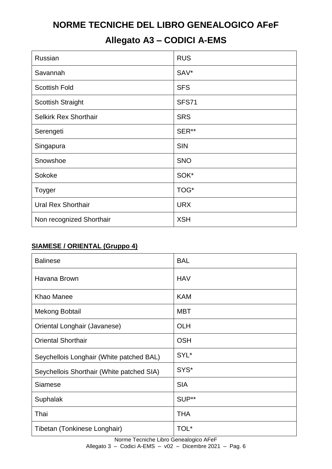## **Allegato A3 – CODICI A-EMS**

| Russian                      | <b>RUS</b>   |
|------------------------------|--------------|
| Savannah                     | SAV*         |
| <b>Scottish Fold</b>         | <b>SFS</b>   |
| <b>Scottish Straight</b>     | <b>SFS71</b> |
| <b>Selkirk Rex Shorthair</b> | <b>SRS</b>   |
| Serengeti                    | SER**        |
| Singapura                    | <b>SIN</b>   |
| Snowshoe                     | <b>SNO</b>   |
| Sokoke                       | SOK*         |
| Toyger                       | TOG*         |
| <b>Ural Rex Shorthair</b>    | <b>URX</b>   |
| Non recognized Shorthair     | <b>XSH</b>   |

### <span id="page-5-0"></span>**SIAMESE / ORIENTAL (Gruppo 4)**

| <b>Balinese</b>                           | <b>BAL</b> |
|-------------------------------------------|------------|
| Havana Brown                              | <b>HAV</b> |
| <b>Khao Manee</b>                         | <b>KAM</b> |
| <b>Mekong Bobtail</b>                     | <b>MBT</b> |
| Oriental Longhair (Javanese)              | <b>OLH</b> |
| <b>Oriental Shorthair</b>                 | <b>OSH</b> |
| Seychellois Longhair (White patched BAL)  | SYL*       |
| Seychellois Shorthair (White patched SIA) | SYS*       |
| <b>Siamese</b>                            | <b>SIA</b> |
| Suphalak                                  | SUP**      |
| Thai                                      | <b>THA</b> |
| Tibetan (Tonkinese Longhair)              | TOL*       |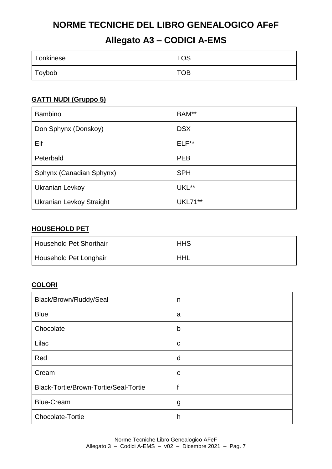## **Allegato A3 – CODICI A-EMS**

| Tonkinese | <b>TOS</b> |
|-----------|------------|
| Toybob    | <b>TOB</b> |

### <span id="page-6-0"></span>**GATTI NUDI (Gruppo 5)**

| <b>Bambino</b>                  | BAM**      |
|---------------------------------|------------|
| Don Sphynx (Donskoy)            | <b>DSX</b> |
| Elf                             | $ELF**$    |
| Peterbald                       | <b>PEB</b> |
| Sphynx (Canadian Sphynx)        | <b>SPH</b> |
| Ukranian Levkoy                 | UKL**      |
| <b>Ukranian Levkoy Straight</b> | UKL71**    |

### <span id="page-6-1"></span>**HOUSEHOLD PET**

| Household Pet Shorthair | <b>HHS</b> |
|-------------------------|------------|
| Household Pet Longhair  | <b>HHL</b> |

### <span id="page-6-2"></span>**COLORI**

| Black/Brown/Ruddy/Seal                | n |
|---------------------------------------|---|
| <b>Blue</b>                           | a |
| Chocolate                             | b |
| Lilac                                 | C |
| Red                                   | d |
| Cream                                 | e |
| Black-Tortie/Brown-Tortie/Seal-Tortie | f |
| <b>Blue-Cream</b>                     | g |
| Chocolate-Tortie                      | h |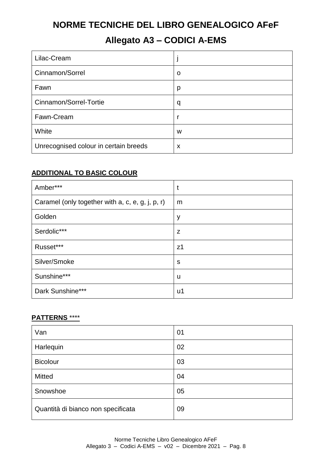### **Allegato A3 – CODICI A-EMS**

| Lilac-Cream                           |   |
|---------------------------------------|---|
| Cinnamon/Sorrel                       | O |
| Fawn                                  | p |
| Cinnamon/Sorrel-Tortie                | q |
| Fawn-Cream                            |   |
| White                                 | W |
| Unrecognised colour in certain breeds | X |

### <span id="page-7-0"></span>**ADDITIONAL TO BASIC COLOUR**

| Amber***                                         | t              |
|--------------------------------------------------|----------------|
| Caramel (only together with a, c, e, g, j, p, r) | m              |
| Golden                                           | У              |
| Serdolic***                                      | z              |
| Russet***                                        | z <sub>1</sub> |
| Silver/Smoke                                     | S              |
| Sunshine***                                      | u              |
| Dark Sunshine***                                 | u1             |

#### <span id="page-7-1"></span>**PATTERNS** \*\*\*\*

| Van                                | 01 |
|------------------------------------|----|
| Harlequin                          | 02 |
| <b>Bicolour</b>                    | 03 |
| <b>Mitted</b>                      | 04 |
| Snowshoe                           | 05 |
| Quantità di bianco non specificata | 09 |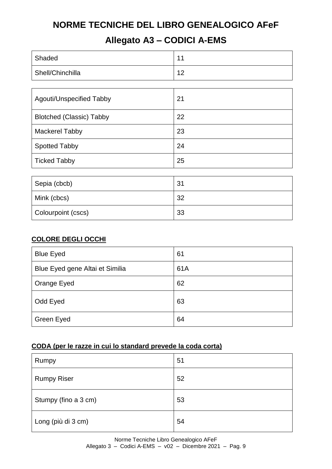## **Allegato A3 – CODICI A-EMS**

| Shaded                          | 11 |
|---------------------------------|----|
| Shell/Chinchilla                | 12 |
|                                 |    |
| Agouti/Unspecified Tabby        | 21 |
| <b>Blotched (Classic) Tabby</b> | 22 |
| <b>Mackerel Tabby</b>           | 23 |
| <b>Spotted Tabby</b>            | 24 |
| <b>Ticked Tabby</b>             | 25 |
|                                 |    |
| Sepia (cbcb)                    | 31 |
| Mink (cbcs)                     | 32 |

### <span id="page-8-0"></span>**COLORE DEGLI OCCHI**

| <b>Blue Eyed</b>                | 61  |
|---------------------------------|-----|
| Blue Eyed gene Altai et Similia | 61A |
| Orange Eyed                     | 62  |
| Odd Eyed                        | 63  |
| Green Eyed                      | 64  |

### <span id="page-8-1"></span>**CODA (per le razze in cui lo standard prevede la coda corta)**

Colourpoint (cscs) 33

| Rumpy                | 51 |
|----------------------|----|
| <b>Rumpy Riser</b>   | 52 |
| Stumpy (fino a 3 cm) | 53 |
| Long (più di 3 cm)   | 54 |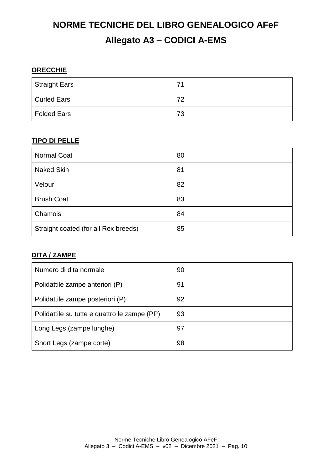### <span id="page-9-0"></span>**ORECCHIE**

| Straight Ears      | 71 |
|--------------------|----|
| Curled Ears        | 72 |
| <b>Folded Ears</b> | 73 |

### <span id="page-9-1"></span>**TIPO DI PELLE**

| <b>Normal Coat</b>                   | 80 |
|--------------------------------------|----|
| <b>Naked Skin</b>                    | 81 |
| Velour                               | 82 |
| <b>Brush Coat</b>                    | 83 |
| Chamois                              | 84 |
| Straight coated (for all Rex breeds) | 85 |

### <span id="page-9-2"></span>**DITA / ZAMPE**

| Numero di dita normale                       | 90 |
|----------------------------------------------|----|
| Polidattile zampe anteriori (P)              | 91 |
| Polidattile zampe posteriori (P)             | 92 |
| Polidattile su tutte e quattro le zampe (PP) | 93 |
| Long Legs (zampe lunghe)                     | 97 |
| Short Legs (zampe corte)                     | 98 |